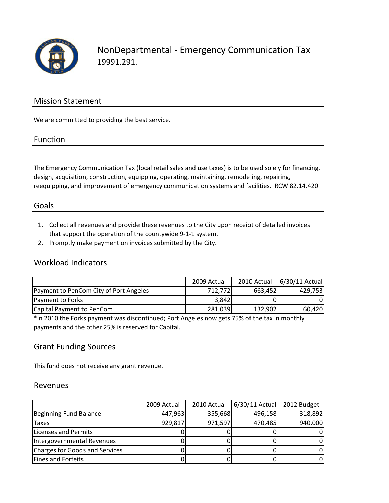

NonDepartmental ‐ Emergency Communication Tax 19991.291.

### Mission Statement

We are committed to providing the best service.

#### Function

The Emergency Communication Tax (local retail sales and use taxes) is to be used solely for financing, design, acquisition, construction, equipping, operating, maintaining, remodeling, repairing, reequipping, and improvement of emergency communication systems and facilities. RCW 82.14.420

### Goals

- 1. Collect all revenues and provide these revenues to the City upon receipt of detailed invoices that support the operation of the countywide 9‐1‐1 system.
- 2. Promptly make payment on invoices submitted by the City.

### Workload Indicators

|                                        | 2009 Actual | 2010 Actual | 6/30/11 Actual |
|----------------------------------------|-------------|-------------|----------------|
| Payment to PenCom City of Port Angeles | 712,7721    | 663,452     | 429.753        |
| Payment to Forks                       | 3,842       |             |                |
| Capital Payment to PenCom              | 281,039     | 132,902     | 60,420         |

\*In 2010 the Forks payment was discontinued; Port Angeles now gets 75% of the tax in monthly payments and the other 25% is reserved for Capital.

### Grant Funding Sources

This fund does not receive any grant revenue.

#### Revenues

|                                | 2009 Actual | 2010 Actual | $6/30/11$ Actual | 2012 Budget |
|--------------------------------|-------------|-------------|------------------|-------------|
| Beginning Fund Balance         | 447,963     | 355,668     | 496,158          | 318,892     |
| Taxes                          | 929,817     | 971,597     | 470,485          | 940,000     |
| Licenses and Permits           |             |             |                  |             |
| Intergovernmental Revenues     |             |             |                  |             |
| Charges for Goods and Services |             |             |                  |             |
| Fines and Forfeits             |             |             |                  |             |